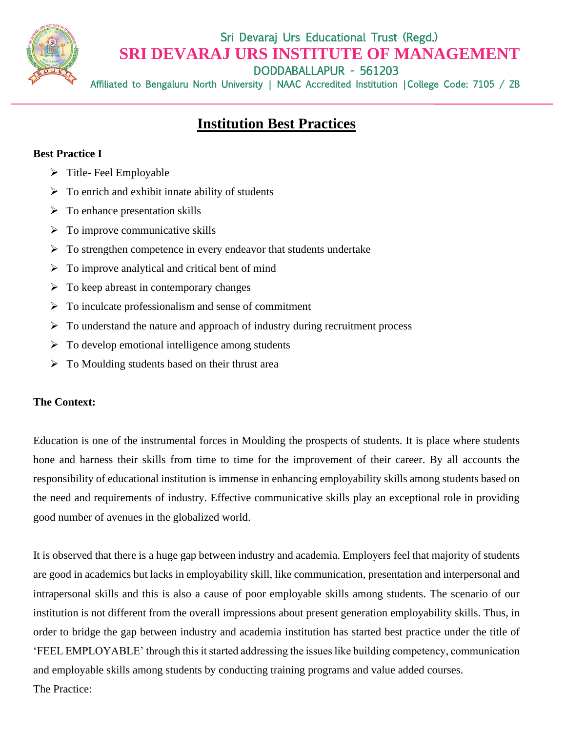

Sri Devaraj Urs Educational Trust (Regd.) **SRI DEVARAJ URS INSTITUTE OF MANAGEMENT** APUR - 561203

Affiliated to Bengaluru North University | NAAC Accredited Institution | College Code: 7105 / ZB

# **Institution Best Practices**

# **Best Practice I**

- $\triangleright$  Title-Feel Employable
- $\triangleright$  To enrich and exhibit innate ability of students
- $\triangleright$  To enhance presentation skills
- $\triangleright$  To improve communicative skills
- $\triangleright$  To strengthen competence in every endeavor that students undertake
- $\triangleright$  To improve analytical and critical bent of mind
- $\triangleright$  To keep abreast in contemporary changes
- ➢ To inculcate professionalism and sense of commitment
- $\triangleright$  To understand the nature and approach of industry during recruitment process
- $\triangleright$  To develop emotional intelligence among students
- ➢ To Moulding students based on their thrust area

## **The Context:**

Education is one of the instrumental forces in Moulding the prospects of students. It is place where students hone and harness their skills from time to time for the improvement of their career. By all accounts the responsibility of educational institution is immense in enhancing employability skills among students based on the need and requirements of industry. Effective communicative skills play an exceptional role in providing good number of avenues in the globalized world.

It is observed that there is a huge gap between industry and academia. Employers feel that majority of students are good in academics but lacks in employability skill, like communication, presentation and interpersonal and intrapersonal skills and this is also a cause of poor employable skills among students. The scenario of our institution is not different from the overall impressions about present generation employability skills. Thus, in order to bridge the gap between industry and academia institution has started best practice under the title of 'FEEL EMPLOYABLE' through this it started addressing the issues like building competency, communication and employable skills among students by conducting training programs and value added courses. The Practice: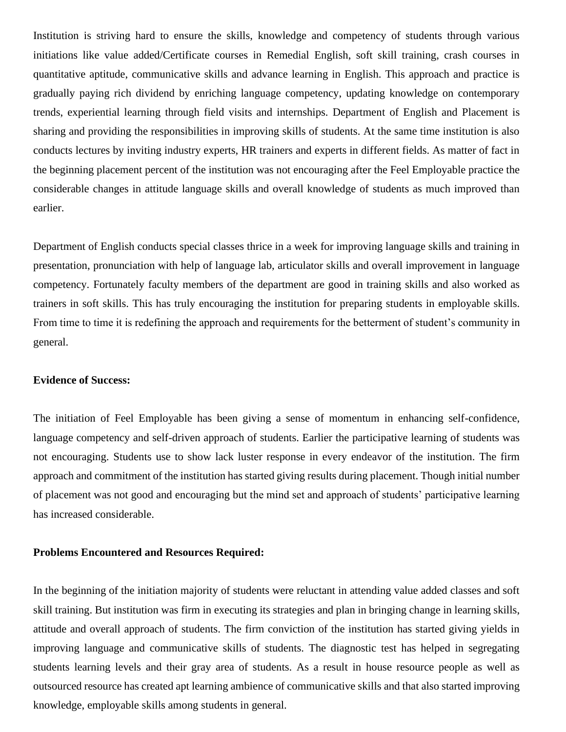Institution is striving hard to ensure the skills, knowledge and competency of students through various initiations like value added/Certificate courses in Remedial English, soft skill training, crash courses in quantitative aptitude, communicative skills and advance learning in English. This approach and practice is gradually paying rich dividend by enriching language competency, updating knowledge on contemporary trends, experiential learning through field visits and internships. Department of English and Placement is sharing and providing the responsibilities in improving skills of students. At the same time institution is also conducts lectures by inviting industry experts, HR trainers and experts in different fields. As matter of fact in the beginning placement percent of the institution was not encouraging after the Feel Employable practice the considerable changes in attitude language skills and overall knowledge of students as much improved than earlier.

Department of English conducts special classes thrice in a week for improving language skills and training in presentation, pronunciation with help of language lab, articulator skills and overall improvement in language competency. Fortunately faculty members of the department are good in training skills and also worked as trainers in soft skills. This has truly encouraging the institution for preparing students in employable skills. From time to time it is redefining the approach and requirements for the betterment of student's community in general.

#### **Evidence of Success:**

The initiation of Feel Employable has been giving a sense of momentum in enhancing self-confidence, language competency and self-driven approach of students. Earlier the participative learning of students was not encouraging. Students use to show lack luster response in every endeavor of the institution. The firm approach and commitment of the institution has started giving results during placement. Though initial number of placement was not good and encouraging but the mind set and approach of students' participative learning has increased considerable.

#### **Problems Encountered and Resources Required:**

In the beginning of the initiation majority of students were reluctant in attending value added classes and soft skill training. But institution was firm in executing its strategies and plan in bringing change in learning skills, attitude and overall approach of students. The firm conviction of the institution has started giving yields in improving language and communicative skills of students. The diagnostic test has helped in segregating students learning levels and their gray area of students. As a result in house resource people as well as outsourced resource has created apt learning ambience of communicative skills and that also started improving knowledge, employable skills among students in general.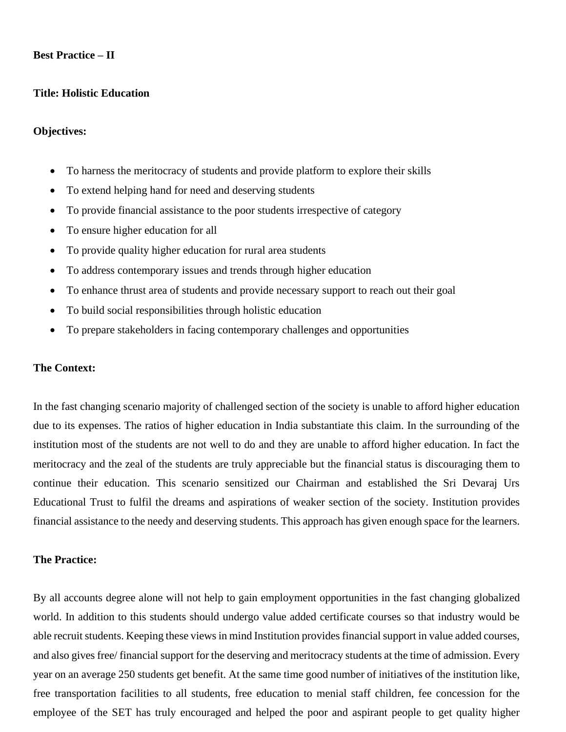## **Best Practice – II**

#### **Title: Holistic Education**

#### **Objectives:**

- To harness the meritocracy of students and provide platform to explore their skills
- To extend helping hand for need and deserving students
- To provide financial assistance to the poor students irrespective of category
- To ensure higher education for all
- To provide quality higher education for rural area students
- To address contemporary issues and trends through higher education
- To enhance thrust area of students and provide necessary support to reach out their goal
- To build social responsibilities through holistic education
- To prepare stakeholders in facing contemporary challenges and opportunities

#### **The Context:**

In the fast changing scenario majority of challenged section of the society is unable to afford higher education due to its expenses. The ratios of higher education in India substantiate this claim. In the surrounding of the institution most of the students are not well to do and they are unable to afford higher education. In fact the meritocracy and the zeal of the students are truly appreciable but the financial status is discouraging them to continue their education. This scenario sensitized our Chairman and established the Sri Devaraj Urs Educational Trust to fulfil the dreams and aspirations of weaker section of the society. Institution provides financial assistance to the needy and deserving students. This approach has given enough space for the learners.

## **The Practice:**

By all accounts degree alone will not help to gain employment opportunities in the fast changing globalized world. In addition to this students should undergo value added certificate courses so that industry would be able recruit students. Keeping these views in mind Institution provides financial support in value added courses, and also gives free/ financial support for the deserving and meritocracy students at the time of admission. Every year on an average 250 students get benefit. At the same time good number of initiatives of the institution like, free transportation facilities to all students, free education to menial staff children, fee concession for the employee of the SET has truly encouraged and helped the poor and aspirant people to get quality higher